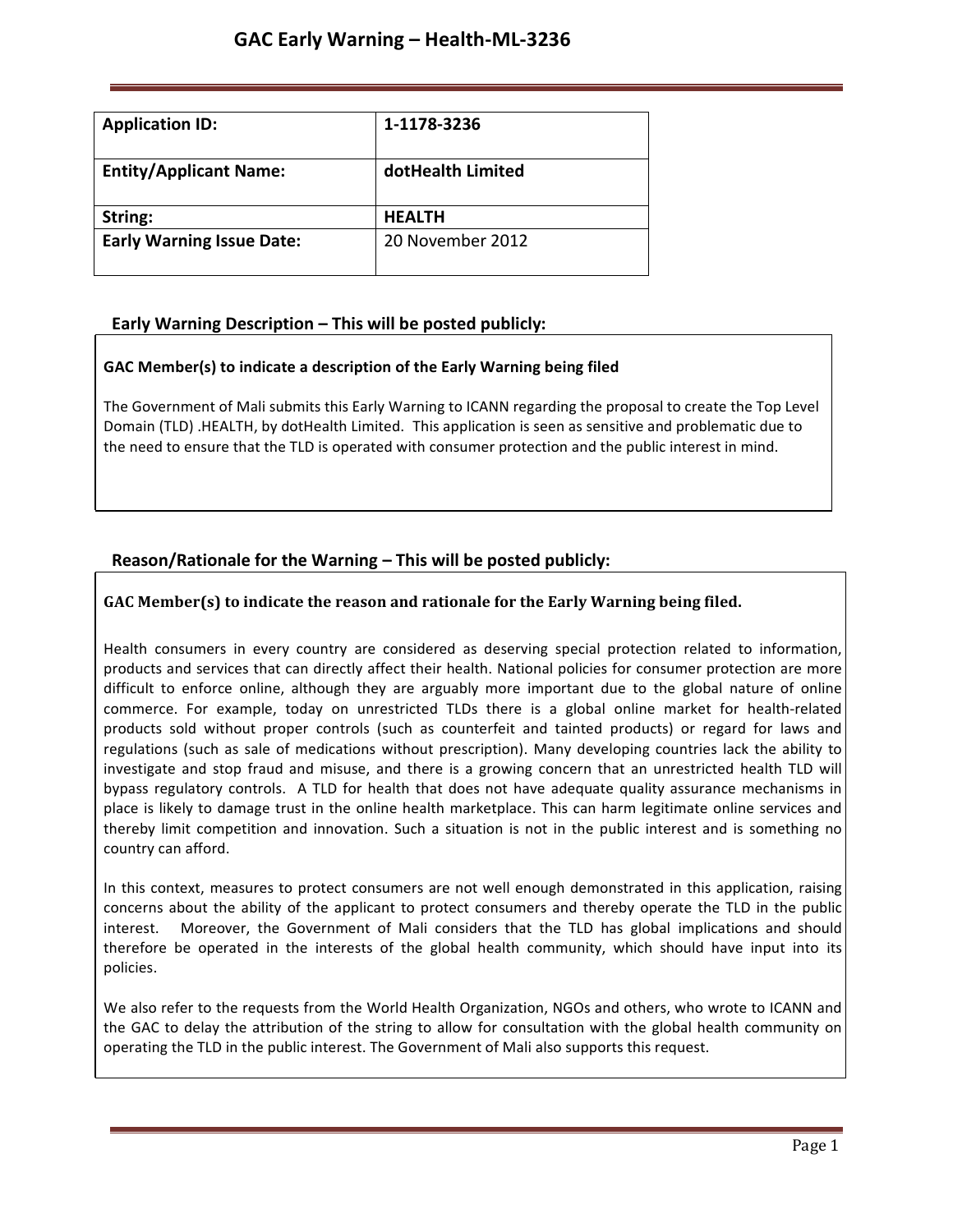| <b>Application ID:</b>           | 1-1178-3236       |
|----------------------------------|-------------------|
| <b>Entity/Applicant Name:</b>    | dotHealth Limited |
| String:                          | <b>HEALTH</b>     |
| <b>Early Warning Issue Date:</b> | 20 November 2012  |

# **Early Warning Description – This will be posted publicly:**

## **GAC Member(s) to indicate a description of the Early Warning being filed**

The Government of Mali submits this Early Warning to ICANN regarding the proposal to create the Top Level Domain (TLD) .HEALTH, by dotHealth Limited. This application is seen as sensitive and problematic due to the need to ensure that the TLD is operated with consumer protection and the public interest in mind.

# **Reason/Rationale for the Warning – This will be posted publicly:**

## **GAC** Member(s) to indicate the reason and rationale for the Early Warning being filed.

Health consumers in every country are considered as deserving special protection related to information, products and services that can directly affect their health. National policies for consumer protection are more difficult to enforce online, although they are arguably more important due to the global nature of online commerce. For example, today on unrestricted TLDs there is a global online market for health-related products sold without proper controls (such as counterfeit and tainted products) or regard for laws and regulations (such as sale of medications without prescription). Many developing countries lack the ability to investigate and stop fraud and misuse, and there is a growing concern that an unrestricted health TLD will bypass regulatory controls. A TLD for health that does not have adequate quality assurance mechanisms in place is likely to damage trust in the online health marketplace. This can harm legitimate online services and thereby limit competition and innovation. Such a situation is not in the public interest and is something no country can afford.

In this context, measures to protect consumers are not well enough demonstrated in this application, raising concerns about the ability of the applicant to protect consumers and thereby operate the TLD in the public interest. Moreover, the Government of Mali considers that the TLD has global implications and should therefore be operated in the interests of the global health community, which should have input into its policies.

We also refer to the requests from the World Health Organization, NGOs and others, who wrote to ICANN and the GAC to delay the attribution of the string to allow for consultation with the global health community on operating the TLD in the public interest. The Government of Mali also supports this request.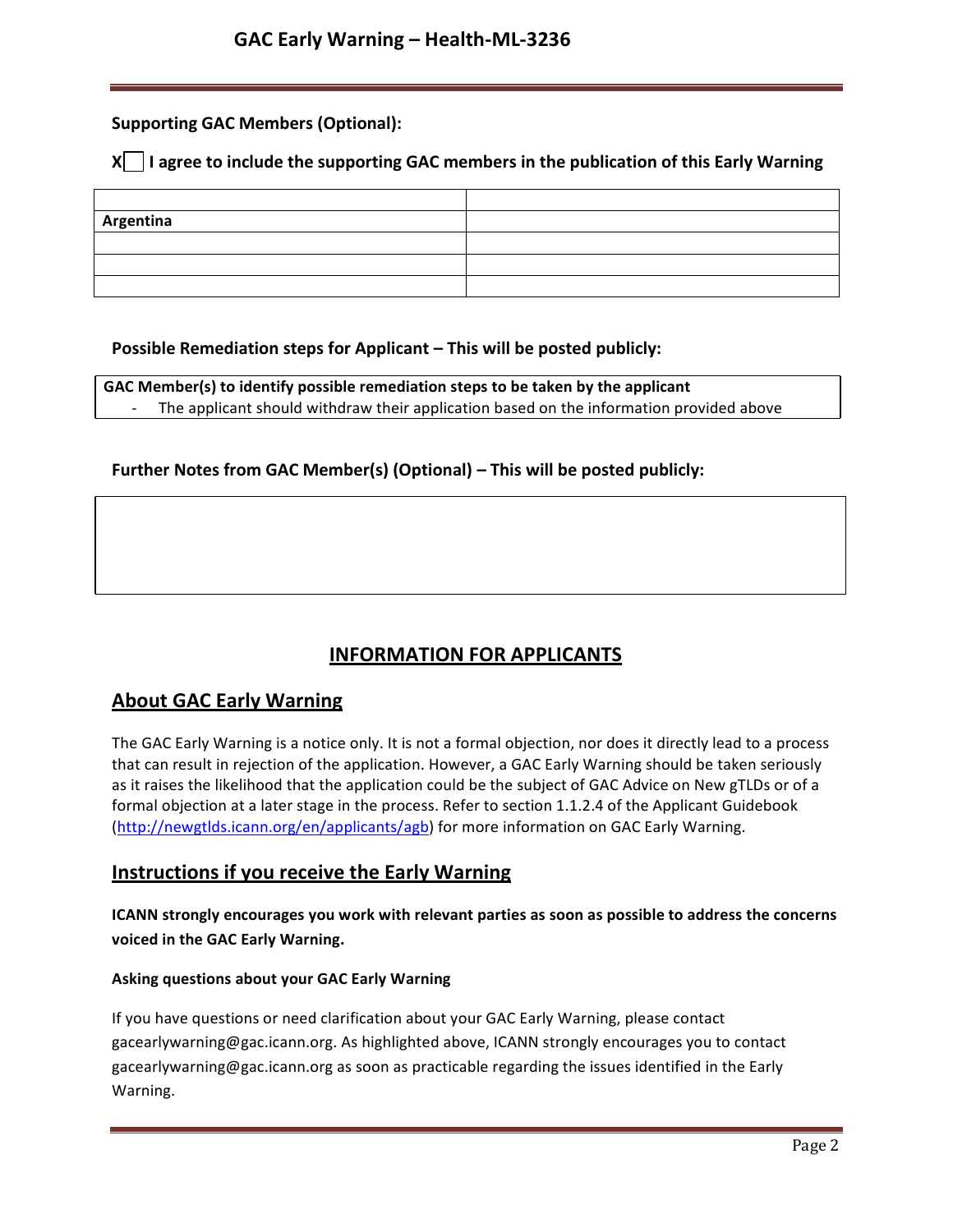## **Supporting GAC Members (Optional):**

## **X** | I agree to include the supporting GAC members in the publication of this Early Warning

| Argentina |  |
|-----------|--|
|           |  |
|           |  |
|           |  |

## **Possible Remediation steps for Applicant – This will be posted publicly:**

**GAC Member(s) to identify possible remediation steps to be taken by the applicant** The applicant should withdraw their application based on the information provided above

## **Further Notes from GAC Member(s) (Optional) – This will be posted publicly:**

# **INFORMATION FOR APPLICANTS**

# **About GAC Early Warning**

The GAC Early Warning is a notice only. It is not a formal objection, nor does it directly lead to a process that can result in rejection of the application. However, a GAC Early Warning should be taken seriously as it raises the likelihood that the application could be the subject of GAC Advice on New gTLDs or of a formal objection at a later stage in the process. Refer to section 1.1.2.4 of the Applicant Guidebook (http://newgtlds.icann.org/en/applicants/agb) for more information on GAC Early Warning.

## **Instructions if you receive the Early Warning**

**ICANN strongly encourages you work with relevant parties as soon as possible to address the concerns voiced in the GAC Early Warning.**

### **Asking questions about your GAC Early Warning**

If you have questions or need clarification about your GAC Early Warning, please contact gacearlywarning@gac.icann.org. As highlighted above, ICANN strongly encourages you to contact gacearlywarning@gac.icann.org as soon as practicable regarding the issues identified in the Early Warning.